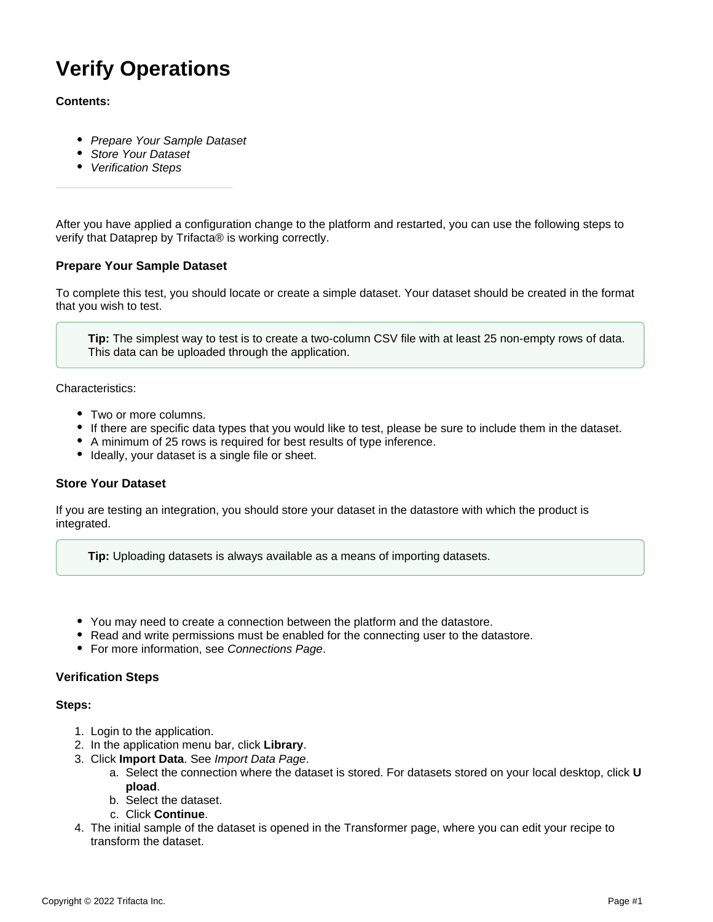# **Verify Operations**

### **Contents:**

- [Prepare Your Sample Dataset](#page-0-0)
- [Store Your Dataset](#page-0-1)
- [Verification Steps](#page-0-2)

After you have applied a configuration change to the platform and restarted, you can use the following steps to verify that Dataprep by Trifacta® is working correctly.

## <span id="page-0-0"></span>**Prepare Your Sample Dataset**

To complete this test, you should locate or create a simple dataset. Your dataset should be created in the format that you wish to test.

**Tip:** The simplest way to test is to create a two-column CSV file with at least 25 non-empty rows of data. This data can be uploaded through the application.

Characteristics:

- Two or more columns.
- If there are specific data types that you would like to test, please be sure to include them in the dataset.
- A minimum of 25 rows is required for best results of type inference.
- Ideally, your dataset is a single file or sheet.

#### <span id="page-0-1"></span>**Store Your Dataset**

If you are testing an integration, you should store your dataset in the datastore with which the product is integrated.

**Tip:** Uploading datasets is always available as a means of importing datasets.

- You may need to create a connection between the platform and the datastore.
- Read and write permissions must be enabled for the connecting user to the datastore.
- For more information, see [Connections Page](https://docs.trifacta.com/display/DP/Connections+Page).

#### <span id="page-0-2"></span>**Verification Steps**

#### **Steps:**

- 1. Login to the application.
- 2. In the application menu bar, click **Library**.
- 3. Click **Import Data**. See [Import Data Page](https://docs.trifacta.com/display/DP/Import+Data+Page).
	- a. Select the connection where the dataset is stored. For datasets stored on your local desktop, click **U pload**.
	- b. Select the dataset.
	- c. Click **Continue**.
- 4. The initial sample of the dataset is opened in the Transformer page, where you can edit your recipe to transform the dataset.